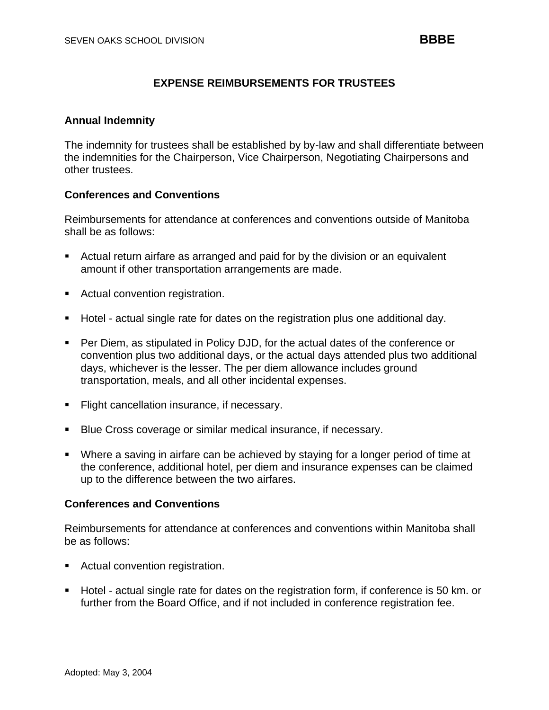# **EXPENSE REIMBURSEMENTS FOR TRUSTEES**

## **Annual Indemnity**

The indemnity for trustees shall be established by by-law and shall differentiate between the indemnities for the Chairperson, Vice Chairperson, Negotiating Chairpersons and other trustees.

### **Conferences and Conventions**

Reimbursements for attendance at conferences and conventions outside of Manitoba shall be as follows:

- Actual return airfare as arranged and paid for by the division or an equivalent amount if other transportation arrangements are made.
- Actual convention registration.
- Hotel actual single rate for dates on the registration plus one additional day.
- Per Diem, as stipulated in Policy DJD, for the actual dates of the conference or convention plus two additional days, or the actual days attended plus two additional days, whichever is the lesser. The per diem allowance includes ground transportation, meals, and all other incidental expenses.
- Flight cancellation insurance, if necessary.
- Blue Cross coverage or similar medical insurance, if necessary.
- Where a saving in airfare can be achieved by staying for a longer period of time at the conference, additional hotel, per diem and insurance expenses can be claimed up to the difference between the two airfares.

### **Conferences and Conventions**

Reimbursements for attendance at conferences and conventions within Manitoba shall be as follows:

- Actual convention registration.
- Hotel actual single rate for dates on the registration form, if conference is 50 km. or further from the Board Office, and if not included in conference registration fee.